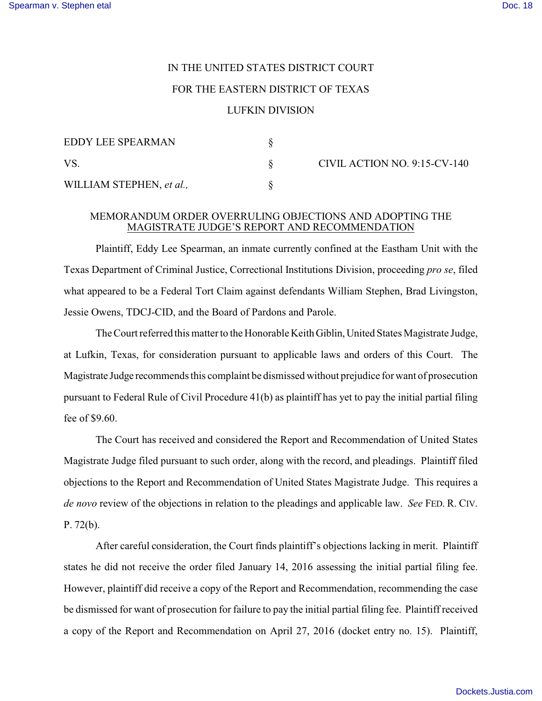## IN THE UNITED STATES DISTRICT COURT FOR THE EASTERN DISTRICT OF TEXAS LUFKIN DIVISION

| <b>EDDY LEE SPEARMAN</b> |  |
|--------------------------|--|
| VS.                      |  |
| WILLIAM STEPHEN, et al., |  |

CIVIL ACTION NO. 9:15-CV-140

## MEMORANDUM ORDER OVERRULING OBJECTIONS AND ADOPTING THE MAGISTRATE JUDGE'S REPORT AND RECOMMENDATION

Plaintiff, Eddy Lee Spearman, an inmate currently confined at the Eastham Unit with the Texas Department of Criminal Justice, Correctional Institutions Division, proceeding *pro se*, filed what appeared to be a Federal Tort Claim against defendants William Stephen, Brad Livingston, Jessie Owens, TDCJ-CID, and the Board of Pardons and Parole.

The Court referred this matter to the Honorable Keith Giblin, United States Magistrate Judge, at Lufkin, Texas, for consideration pursuant to applicable laws and orders of this Court. The Magistrate Judge recommends this complaint be dismissed without prejudice for want of prosecution pursuant to Federal Rule of Civil Procedure 41(b) as plaintiff has yet to pay the initial partial filing fee of \$9.60.

The Court has received and considered the Report and Recommendation of United States Magistrate Judge filed pursuant to such order, along with the record, and pleadings. Plaintiff filed objections to the Report and Recommendation of United States Magistrate Judge. This requires a *de novo* review of the objections in relation to the pleadings and applicable law. *See* FED. R. CIV. P. 72(b).

After careful consideration, the Court finds plaintiff's objections lacking in merit. Plaintiff states he did not receive the order filed January 14, 2016 assessing the initial partial filing fee. However, plaintiff did receive a copy of the Report and Recommendation, recommending the case be dismissed for want of prosecution for failure to pay the initial partial filing fee. Plaintiff received a copy of the Report and Recommendation on April 27, 2016 (docket entry no. 15). Plaintiff,